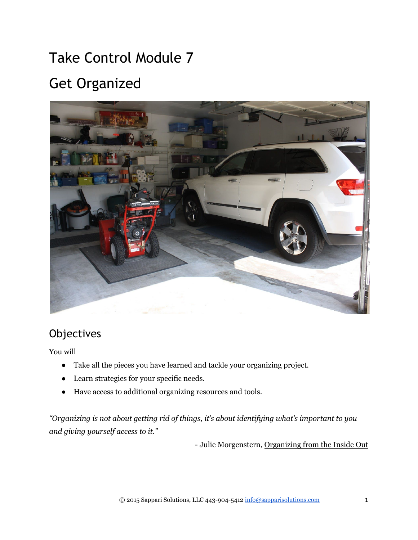# Take Control Module 7 Get Organized



# **Objectives**

You will

- Take all the pieces you have learned and tackle your organizing project.
- Learn strategies for your specific needs.
- Have access to additional organizing resources and tools.

*"Organizing is not about getting rid of things, it's about identifying what's important to you and giving yourself access to it."*

- Julie Morgenstern, Organizing from the Inside Out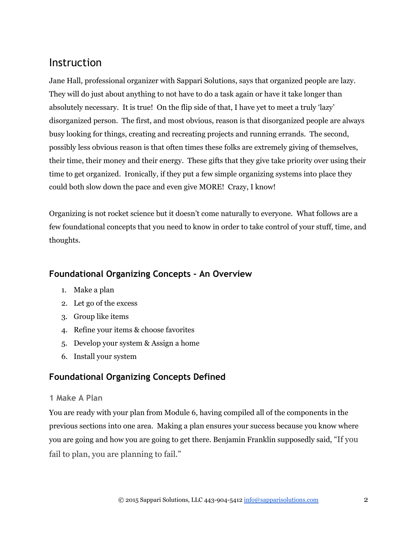# Instruction

Jane Hall, professional organizer with Sappari Solutions, says that organized people are lazy. They will do just about anything to not have to do a task again or have it take longer than absolutely necessary. It is true! On the flip side of that, I have yet to meet a truly 'lazy' disorganized person. The first, and most obvious, reason is that disorganized people are always busy looking for things, creating and recreating projects and running errands. The second, possibly less obvious reason is that often times these folks are extremely giving of themselves, their time, their money and their energy. These gifts that they give take priority over using their time to get organized. Ironically, if they put a few simple organizing systems into place they could both slow down the pace and even give MORE! Crazy, I know!

Organizing is not rocket science but it doesn't come naturally to everyone. What follows are a few foundational concepts that you need to know in order to take control of your stuff, time, and thoughts.

### **Foundational Organizing Concepts ‐ An Overview**

- 1. Make a plan
- 2. Let go of the excess
- 3. Group like items
- 4. Refine your items & choose favorites
- 5. Develop your system & Assign a home
- 6. Install your system

## **Foundational Organizing Concepts Defined**

#### **1 Make A Plan**

You are ready with your plan from Module 6, having compiled all of the components in the previous sections into one area. Making a plan ensures your success because you know where you are going and how you are going to get there. Benjamin Franklin supposedly said, "If you fail to plan, you are planning to fail."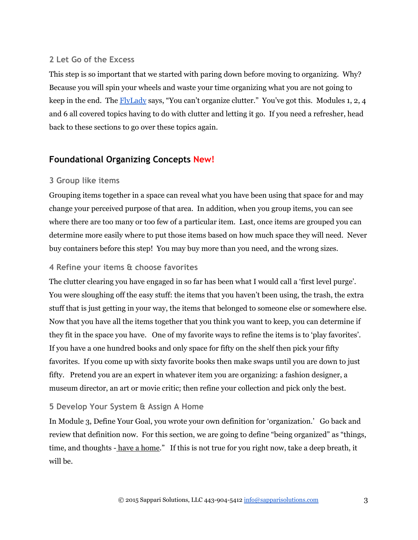#### **2 Let Go of the Excess**

This step is so important that we started with paring down before moving to organizing. Why? Because you will spin your wheels and waste your time organizing what you are not going to keep in the end. The [FlyLady](http://www.flylady.net/) says, "You can't organize clutter." You've got this. Modules 1, 2, 4 and 6 all covered topics having to do with clutter and letting it go. If you need a refresher, head back to these sections to go over these topics again.

#### **Foundational Organizing Concepts New!**

#### **3 Group like items**

Grouping items together in a space can reveal what you have been using that space for and may change your perceived purpose of that area. In addition, when you group items, you can see where there are too many or too few of a particular item. Last, once items are grouped you can determine more easily where to put those items based on how much space they will need. Never buy containers before this step! You may buy more than you need, and the wrong sizes.

#### **4 Refine your items & choose favorites**

The clutter clearing you have engaged in so far has been what I would call a 'first level purge'. You were sloughing off the easy stuff: the items that you haven't been using, the trash, the extra stuff that is just getting in your way, the items that belonged to someone else or somewhere else. Now that you have all the items together that you think you want to keep, you can determine if they fit in the space you have. One of my favorite ways to refine the items is to 'play favorites'. If you have a one hundred books and only space for fifty on the shelf then pick your fifty favorites. If you come up with sixty favorite books then make swaps until you are down to just fifty. Pretend you are an expert in whatever item you are organizing: a fashion designer, a museum director, an art or movie critic; then refine your collection and pick only the best.

#### **5 Develop Your System & Assign A Home**

In Module 3, Define Your Goal, you wrote your own definition for 'organization.' Go back and review that definition now. For this section, we are going to define "being organized" as "things, time, and thoughts - have a home." If this is not true for you right now, take a deep breath, it will be.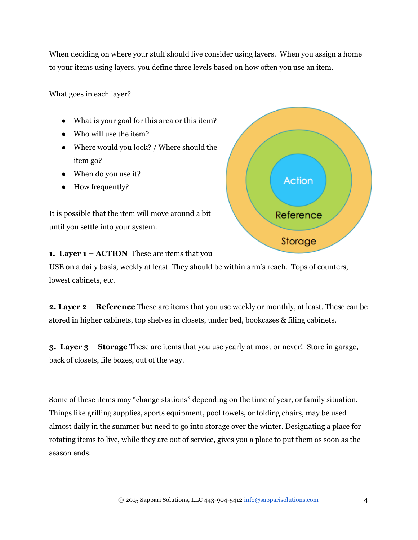When deciding on where your stuff should live consider using layers. When you assign a home to your items using layers, you define three levels based on how often you use an item.

What goes in each layer?

- What is your goal for this area or this item?
- Who will use the item?
- Where would you look? / Where should the item go?
- When do you use it?
- How frequently?

It is possible that the item will move around a bit until you settle into your system.



#### **1. Layer**  $1 - ACTION$  These are items that you

USE on a daily basis, weekly at least. They should be within arm's reach. Tops of counters, lowest cabinets, etc.

**2. Layer 2 – Reference** These are items that you use weekly or monthly, at least. These can be stored in higher cabinets, top shelves in closets, under bed, bookcases & filing cabinets.

**3. Layer 3 – Storage** These are items that you use yearly at most or never! Store in garage, back of closets, file boxes, out of the way.

Some of these items may "change stations" depending on the time of year, or family situation. Things like grilling supplies, sports equipment, pool towels, or folding chairs, may be used almost daily in the summer but need to go into storage over the winter. Designating a place for rotating items to live, while they are out of service, gives you a place to put them as soon as the season ends.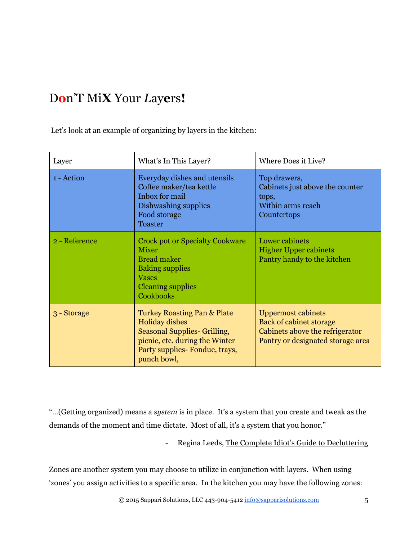# D**o**n'T Mi**X** Your *L*ay**e**rs**!**

Let's look at an example of organizing by layers in the kitchen:

| Layer         | What's In This Layer?                                                                                                                                                              | Where Does it Live?                                                                                                                 |
|---------------|------------------------------------------------------------------------------------------------------------------------------------------------------------------------------------|-------------------------------------------------------------------------------------------------------------------------------------|
| 1 - Action    | Everyday dishes and utensils<br>Coffee maker/tea kettle<br>Inbox for mail<br>Dishwashing supplies<br>Food storage<br><b>Toaster</b>                                                | Top drawers,<br>Cabinets just above the counter<br>tops,<br>Within arms reach<br>Countertops                                        |
| 2 - Reference | <b>Crock pot or Specialty Cookware</b><br><b>Mixer</b><br><b>Bread maker</b><br><b>Baking supplies</b><br><b>Vases</b><br><b>Cleaning supplies</b><br>Cookbooks                    | Lower cabinets<br><b>Higher Upper cabinets</b><br>Pantry handy to the kitchen                                                       |
| 3 - Storage   | <b>Turkey Roasting Pan &amp; Plate</b><br><b>Holiday dishes</b><br>Seasonal Supplies- Grilling,<br>picnic, etc. during the Winter<br>Party supplies- Fondue, trays,<br>punch bowl, | <b>Uppermost cabinets</b><br><b>Back of cabinet storage</b><br>Cabinets above the refrigerator<br>Pantry or designated storage area |

"…(Getting organized) means a *system* is in place. It's a system that you create and tweak as the demands of the moment and time dictate. Most of all, it's a system that you honor."

- Regina Leeds, The Complete Idiot's Guide to Decluttering

Zones are another system you may choose to utilize in conjunction with layers. When using 'zones' you assign activities to a specific area. In the kitchen you may have the following zones: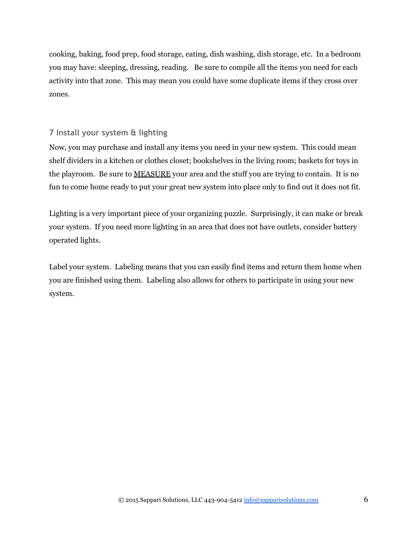cooking, baking, food prep, food storage, eating, dish washing, dish storage, etc. In a bedroom you may have: sleeping, dressing, reading. Be sure to compile all the items you need for each activity into that zone. This may mean you could have some duplicate items if they cross over zones.

#### **7 Install your system & lighting**

Now, you may purchase and install any items you need in your new system. This could mean shelf dividers in a kitchen or clothes closet; bookshelves in the living room; baskets for toys in the playroom. Be sure to MEASURE your area and the stuff you are trying to contain. It is no fun to come home ready to put your great new system into place only to find out it does not fit.

Lighting is a very important piece of your organizing puzzle. Surprisingly, it can make or break your system. If you need more lighting in an area that does not have outlets, consider battery operated lights.

Label your system. Labeling means that you can easily find items and return them home when you are finished using them. Labeling also allows for others to participate in using your new system.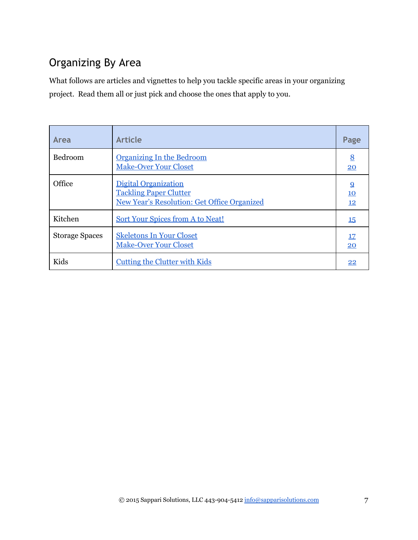# Organizing By Area

What follows are articles and vignettes to help you tackle specific areas in your organizing project. Read them all or just pick and choose the ones that apply to you.

| Area                  | <b>Article</b>                                                                                              | Page                              |
|-----------------------|-------------------------------------------------------------------------------------------------------------|-----------------------------------|
| Bedroom               | <b>Organizing In the Bedroom</b><br><b>Make-Over Your Closet</b>                                            | 8<br>20                           |
| Office                | Digital Organization<br><b>Tackling Paper Clutter</b><br><b>New Year's Resolution: Get Office Organized</b> | $\overline{9}$<br>10<br><u>12</u> |
| Kitchen               | <b>Sort Your Spices from A to Neat!</b>                                                                     | <b>15</b>                         |
| <b>Storage Spaces</b> | <b>Skeletons In Your Closet</b><br><b>Make-Over Your Closet</b>                                             | <u>17</u><br>20                   |
| Kids                  | <b>Cutting the Clutter with Kids</b>                                                                        | 22                                |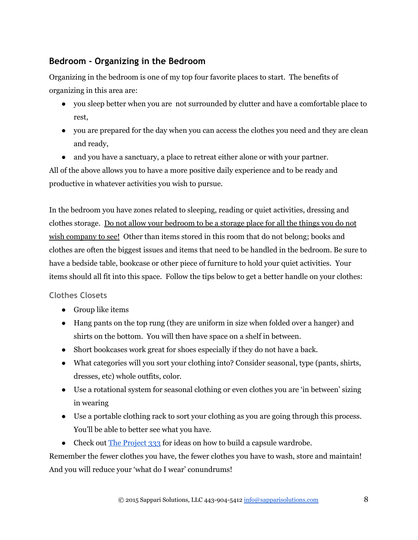### <span id="page-7-0"></span>**Bedroom ‐ Organizing in the Bedroom**

Organizing in the bedroom is one of my top four favorite places to start. The benefits of organizing in this area are:

- you sleep better when you are not surrounded by clutter and have a comfortable place to rest,
- you are prepared for the day when you can access the clothes you need and they are clean and ready,
- and you have a sanctuary, a place to retreat either alone or with your partner.

All of the above allows you to have a more positive daily experience and to be ready and productive in whatever activities you wish to pursue.

In the bedroom you have zones related to sleeping, reading or quiet activities, dressing and clothes storage. Do not allow your bedroom to be a storage place for all the things you do not wish company to see! Other than items stored in this room that do not belong; books and clothes are often the biggest issues and items that need to be handled in the bedroom. Be sure to have a bedside table, bookcase or other piece of furniture to hold your quiet activities. Your items should all fit into this space. Follow the tips below to get a better handle on your clothes:

#### **Clothes Closets**

- Group like items
- Hang pants on the top rung (they are uniform in size when folded over a hanger) and shirts on the bottom. You will then have space on a shelf in between.
- Short bookcases work great for shoes especially if they do not have a back.
- What categories will you sort your clothing into? Consider seasonal, type (pants, shirts, dresses, etc) whole outfits, color.
- Use a rotational system for seasonal clothing or even clothes you are 'in between' sizing in wearing
- Use a portable clothing rack to sort your clothing as you are going through this process. You'll be able to better see what you have.
- Check out [The Project 333](http://theproject333.com/) for ideas on how to build a capsule wardrobe.

Remember the fewer clothes you have, the fewer clothes you have to wash, store and maintain! And you will reduce your 'what do I wear' conundrums!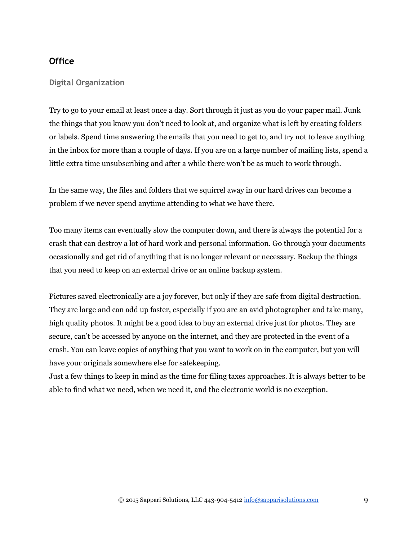#### **Office**

#### <span id="page-8-0"></span>**Digital Organization**

Try to go to your email at least once a day. Sort through it just as you do your paper mail. Junk the things that you know you don't need to look at, and organize what is left by creating folders or labels. Spend time answering the emails that you need to get to, and try not to leave anything in the inbox for more than a couple of days. If you are on a large number of mailing lists, spend a little extra time unsubscribing and after a while there won't be as much to work through.

In the same way, the files and folders that we squirrel away in our hard drives can become a problem if we never spend anytime attending to what we have there.

Too many items can eventually slow the computer down, and there is always the potential for a crash that can destroy a lot of hard work and personal information. Go through your documents occasionally and get rid of anything that is no longer relevant or necessary. Backup the things that you need to keep on an external drive or an online backup system.

Pictures saved electronically are a joy forever, but only if they are safe from digital destruction. They are large and can add up faster, especially if you are an avid photographer and take many, high quality photos. It might be a good idea to buy an external drive just for photos. They are secure, can't be accessed by anyone on the internet, and they are protected in the event of a crash. You can leave copies of anything that you want to work on in the computer, but you will have your originals somewhere else for safekeeping.

Just a few things to keep in mind as the time for filing taxes approaches. It is always better to be able to find what we need, when we need it, and the electronic world is no exception.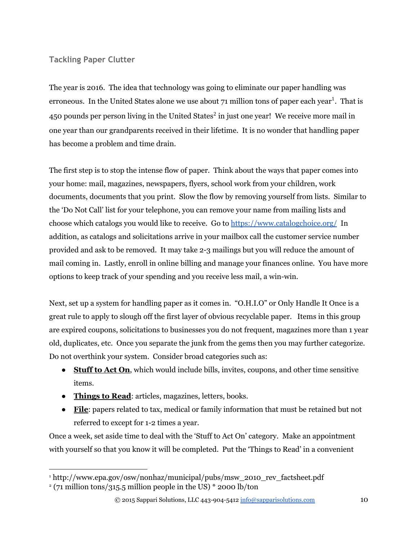#### <span id="page-9-0"></span>**Tackling Paper Clutter**

The year is 2016. The idea that technology was going to eliminate our paper handling was erroneous. In the United States alone we use about 71 million tons of paper each year<sup>1</sup>. That is 450 pounds per person living in the United States<sup>2</sup> in just one year! We receive more mail in one year than our grandparents received in their lifetime. It is no wonder that handling paper has become a problem and time drain.

The first step is to stop the intense flow of paper. Think about the ways that paper comes into your home: mail, magazines, newspapers, flyers, school work from your children, work documents, documents that you print. Slow the flow by removing yourself from lists. Similar to the 'Do Not Call' list for your telephone, you can remove your name from mailing lists and choose which catalogs you would like to receive. Go to <https://www.catalogchoice.org/> In addition, as catalogs and solicitations arrive in your mailbox call the customer service number provided and ask to be removed. It may take 23 mailings but you will reduce the amount of mail coming in. Lastly, enroll in online billing and manage your finances online. You have more options to keep track of your spending and you receive less mail, a win-win.

Next, set up a system for handling paper as it comes in. "O.H.I.O" or Only Handle It Once is a great rule to apply to slough off the first layer of obvious recyclable paper. Items in this group are expired coupons, solicitations to businesses you do not frequent, magazines more than 1 year old, duplicates, etc. Once you separate the junk from the gems then you may further categorize. Do not overthink your system. Consider broad categories such as:

- **Stuff to Act On**, which would include bills, invites, coupons, and other time sensitive items.
- **Things to Read**: articles, magazines, letters, books.
- **File**: papers related to tax, medical or family information that must be retained but not referred to except for  $1-2$  times a year.

Once a week, set aside time to deal with the 'Stuff to Act On' category. Make an appointment with yourself so that you know it will be completed. Put the 'Things to Read' in a convenient

<sup>&</sup>lt;sup>1</sup> http://www.epa.gov/osw/nonhaz/municipal/pubs/msw\_2010\_rev\_factsheet.pdf

 $2$  (71 million tons/315.5 million people in the US)  $*$  2000 lb/ton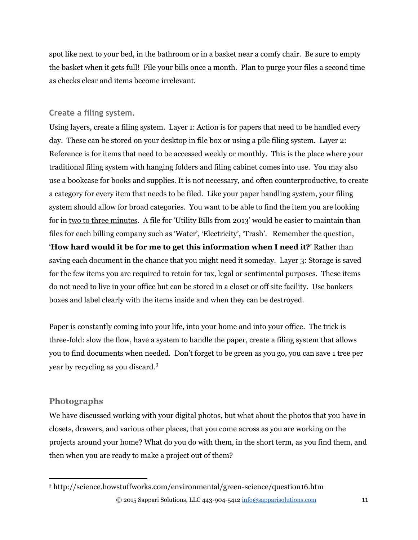spot like next to your bed, in the bathroom or in a basket near a comfy chair. Be sure to empty the basket when it gets full! File your bills once a month. Plan to purge your files a second time as checks clear and items become irrelevant.

#### **Create a filing system.**

Using layers, create a filing system. Layer 1: Action is for papers that need to be handled every day. These can be stored on your desktop in file box or using a pile filing system. Layer 2: Reference is for items that need to be accessed weekly or monthly. This is the place where your traditional filing system with hanging folders and filing cabinet comes into use. You may also use a bookcase for books and supplies. It is not necessary, and often counterproductive, to create a category for every item that needs to be filed. Like your paper handling system, your filing system should allow for broad categories. You want to be able to find the item you are looking for in two to three minutes. A file for 'Utility Bills from 2013' would be easier to maintain than files for each billing company such as 'Water', 'Electricity', 'Trash'. Remember the question, '**How hard would it be for me to get this information when I need it?**' Rather than saving each document in the chance that you might need it someday. Layer 3: Storage is saved for the few items you are required to retain for tax, legal or sentimental purposes. These items do not need to live in your office but can be stored in a closet or off site facility. Use bankers boxes and label clearly with the items inside and when they can be destroyed.

Paper is constantly coming into your life, into your home and into your office. The trick is threefold: slow the flow, have a system to handle the paper, create a filing system that allows you to find documents when needed. Don't forget to be green as you go, you can save 1 tree per year by recycling as you discard.<sup>3</sup>

#### **Photographs**

We have discussed working with your digital photos, but what about the photos that you have in closets, drawers, and various other places, that you come across as you are working on the projects around your home? What do you do with them, in the short term, as you find them, and then when you are ready to make a project out of them?

<sup>&</sup>lt;sup>3</sup> http://science.howstuffworks.com/environmental/green-science/question16.htm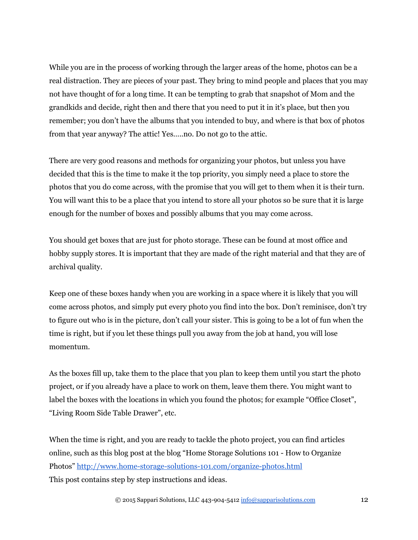While you are in the process of working through the larger areas of the home, photos can be a real distraction. They are pieces of your past. They bring to mind people and places that you may not have thought of for a long time. It can be tempting to grab that snapshot of Mom and the grandkids and decide, right then and there that you need to put it in it's place, but then you remember; you don't have the albums that you intended to buy, and where is that box of photos from that year anyway? The attic! Yes…..no. Do not go to the attic.

There are very good reasons and methods for organizing your photos, but unless you have decided that this is the time to make it the top priority, you simply need a place to store the photos that you do come across, with the promise that you will get to them when it is their turn. You will want this to be a place that you intend to store all your photos so be sure that it is large enough for the number of boxes and possibly albums that you may come across.

You should get boxes that are just for photo storage. These can be found at most office and hobby supply stores. It is important that they are made of the right material and that they are of archival quality.

Keep one of these boxes handy when you are working in a space where it is likely that you will come across photos, and simply put every photo you find into the box. Don't reminisce, don't try to figure out who is in the picture, don't call your sister. This is going to be a lot of fun when the time is right, but if you let these things pull you away from the job at hand, you will lose momentum.

As the boxes fill up, take them to the place that you plan to keep them until you start the photo project, or if you already have a place to work on them, leave them there. You might want to label the boxes with the locations in which you found the photos; for example "Office Closet", "Living Room Side Table Drawer", etc.

When the time is right, and you are ready to tackle the photo project, you can find articles online, such as this blog post at the blog "Home Storage Solutions 101 How to Organize Photos" http://www.home-storage-solutions-101.com/organize-photos.html This post contains step by step instructions and ideas.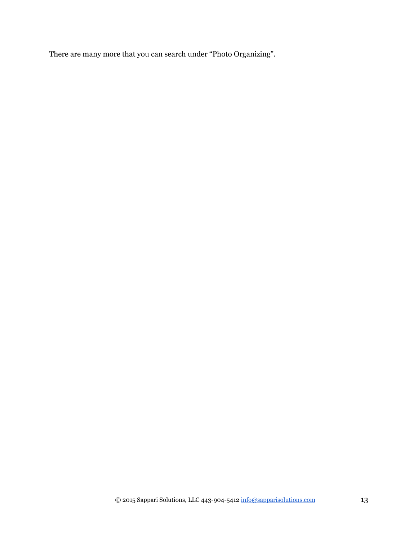There are many more that you can search under "Photo Organizing".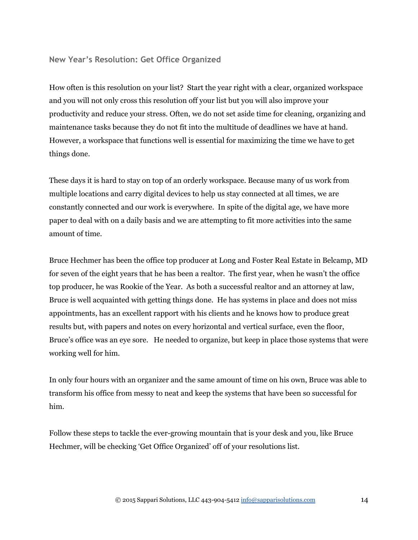#### <span id="page-13-0"></span>**New Year's Resolution: Get Office Organized**

How often is this resolution on your list? Start the year right with a clear, organized workspace and you will not only cross this resolution off your list but you will also improve your productivity and reduce your stress. Often, we do not set aside time for cleaning, organizing and maintenance tasks because they do not fit into the multitude of deadlines we have at hand. However, a workspace that functions well is essential for maximizing the time we have to get things done.

These days it is hard to stay on top of an orderly workspace. Because many of us work from multiple locations and carry digital devices to help us stay connected at all times, we are constantly connected and our work is everywhere. In spite of the digital age, we have more paper to deal with on a daily basis and we are attempting to fit more activities into the same amount of time.

Bruce Hechmer has been the office top producer at Long and Foster Real Estate in Belcamp, MD for seven of the eight years that he has been a realtor. The first year, when he wasn't the office top producer, he was Rookie of the Year. As both a successful realtor and an attorney at law, Bruce is well acquainted with getting things done. He has systems in place and does not miss appointments, has an excellent rapport with his clients and he knows how to produce great results but, with papers and notes on every horizontal and vertical surface, even the floor, Bruce's office was an eye sore. He needed to organize, but keep in place those systems that were working well for him.

In only four hours with an organizer and the same amount of time on his own, Bruce was able to transform his office from messy to neat and keep the systems that have been so successful for him.

Follow these steps to tackle the ever-growing mountain that is your desk and you, like Bruce Hechmer, will be checking 'Get Office Organized' off of your resolutions list.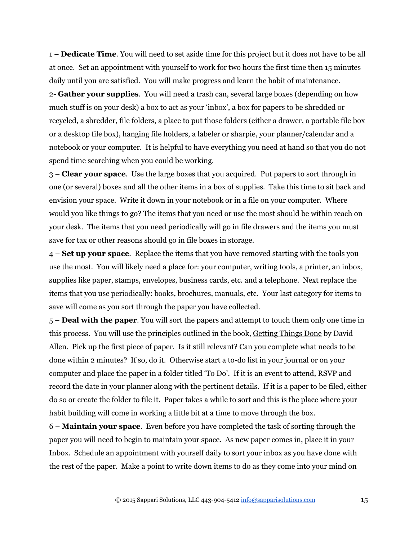1 – **Dedicate Time**. You will need to set aside time for this project but it does not have to be all at once. Set an appointment with yourself to work for two hours the first time then 15 minutes daily until you are satisfied. You will make progress and learn the habit of maintenance.

2 **Gather your supplies**. You will need a trash can, several large boxes (depending on how much stuff is on your desk) a box to act as your 'inbox', a box for papers to be shredded or recycled, a shredder, file folders, a place to put those folders (either a drawer, a portable file box or a desktop file box), hanging file holders, a labeler or sharpie, your planner/calendar and a notebook or your computer. It is helpful to have everything you need at hand so that you do not spend time searching when you could be working.

3 – **Clear your space**. Use the large boxes that you acquired. Put papers to sort through in one (or several) boxes and all the other items in a box of supplies. Take this time to sit back and envision your space. Write it down in your notebook or in a file on your computer. Where would you like things to go? The items that you need or use the most should be within reach on your desk. The items that you need periodically will go in file drawers and the items you must save for tax or other reasons should go in file boxes in storage.

4 – **Set up your space**. Replace the items that you have removed starting with the tools you use the most. You will likely need a place for: your computer, writing tools, a printer, an inbox, supplies like paper, stamps, envelopes, business cards, etc. and a telephone. Next replace the items that you use periodically: books, brochures, manuals, etc. Your last category for items to save will come as you sort through the paper you have collected.

5 – **Deal with the paper**. You will sort the papers and attempt to touch them only one time in this process. You will use the principles outlined in the book, Getting Things Done by David Allen. Pick up the first piece of paper. Is it still relevant? Can you complete what needs to be done within 2 minutes? If so, do it. Otherwise start a to-do list in your journal or on your computer and place the paper in a folder titled 'To Do'. If it is an event to attend, RSVP and record the date in your planner along with the pertinent details. If it is a paper to be filed, either do so or create the folder to file it. Paper takes a while to sort and this is the place where your habit building will come in working a little bit at a time to move through the box.

6 – **Maintain your space**. Even before you have completed the task of sorting through the paper you will need to begin to maintain your space. As new paper comes in, place it in your Inbox. Schedule an appointment with yourself daily to sort your inbox as you have done with the rest of the paper. Make a point to write down items to do as they come into your mind on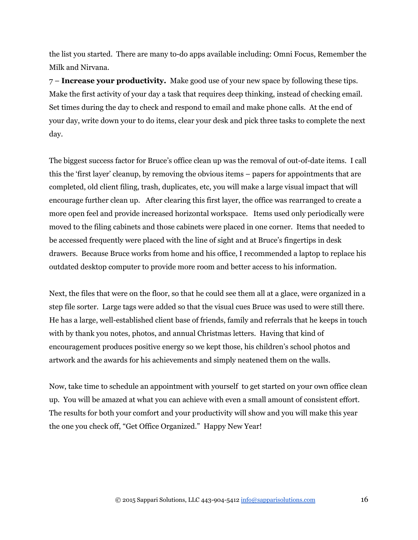the list you started. There are many to-do apps available including: Omni Focus, Remember the Milk and Nirvana.

7 – **Increase your productivity.** Make good use of your new space by following these tips. Make the first activity of your day a task that requires deep thinking, instead of checking email. Set times during the day to check and respond to email and make phone calls. At the end of your day, write down your to do items, clear your desk and pick three tasks to complete the next day.

The biggest success factor for Bruce's office clean up was the removal of out-of-date items. I call this the 'first layer' cleanup, by removing the obvious items – papers for appointments that are completed, old client filing, trash, duplicates, etc, you will make a large visual impact that will encourage further clean up. After clearing this first layer, the office was rearranged to create a more open feel and provide increased horizontal workspace. Items used only periodically were moved to the filing cabinets and those cabinets were placed in one corner. Items that needed to be accessed frequently were placed with the line of sight and at Bruce's fingertips in desk drawers. Because Bruce works from home and his office, I recommended a laptop to replace his outdated desktop computer to provide more room and better access to his information.

Next, the files that were on the floor, so that he could see them all at a glace, were organized in a step file sorter. Large tags were added so that the visual cues Bruce was used to were still there. He has a large, well-established client base of friends, family and referrals that he keeps in touch with by thank you notes, photos, and annual Christmas letters. Having that kind of encouragement produces positive energy so we kept those, his children's school photos and artwork and the awards for his achievements and simply neatened them on the walls.

Now, take time to schedule an appointment with yourself to get started on your own office clean up. You will be amazed at what you can achieve with even a small amount of consistent effort. The results for both your comfort and your productivity will show and you will make this year the one you check off, "Get Office Organized." Happy New Year!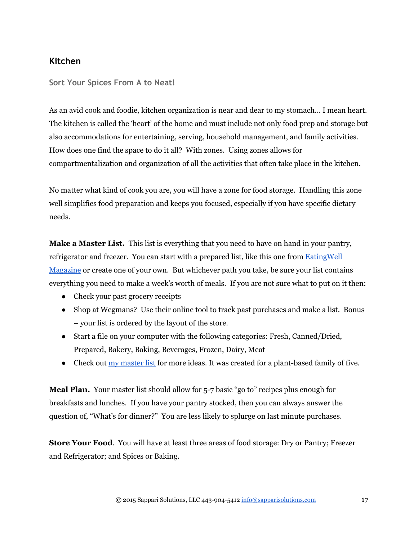#### **Kitchen**

<span id="page-16-0"></span>**Sort Your Spices From A to Neat!**

As an avid cook and foodie, kitchen organization is near and dear to my stomach… I mean heart. The kitchen is called the 'heart' of the home and must include not only food prep and storage but also accommodations for entertaining, serving, household management, and family activities. How does one find the space to do it all? With zones. Using zones allows for compartmentalization and organization of all the activities that often take place in the kitchen.

No matter what kind of cook you are, you will have a zone for food storage. Handling this zone well simplifies food preparation and keeps you focused, especially if you have specific dietary needs.

Make a Master List. This list is everything that you need to have on hand in your pantry, refrigerator and freezer. You can start with a prepared list, like this one from [EatingWell](http://www.eatingwell.com/healthy_cooking/healthy_cooking_101/shopping_cooking_guides/guide_to_stocking_your_pantry) [Magazine](http://www.eatingwell.com/healthy_cooking/healthy_cooking_101/shopping_cooking_guides/guide_to_stocking_your_pantry) or create one of your own. But whichever path you take, be sure your list contains everything you need to make a week's worth of meals. If you are not sure what to put on it then:

- Check your past grocery receipts
- Shop at Wegmans? Use their online tool to track past purchases and make a list. Bonus – your list is ordered by the layout of the store.
- Start a file on your computer with the following categories: Fresh, Canned/Dried, Prepared, Bakery, Baking, Beverages, Frozen, Dairy, Meat
- Check out  $\frac{my \text{ master list}}{M}$  for more ideas. It was created for a plant-based family of five.

**Meal Plan.** Your master list should allow for 5-7 basic "go to" recipes plus enough for breakfasts and lunches. If you have your pantry stocked, then you can always answer the question of, "What's for dinner?" You are less likely to splurge on last minute purchases.

**Store Your Food.** You will have at least three areas of food storage: Dry or Pantry; Freezer and Refrigerator; and Spices or Baking.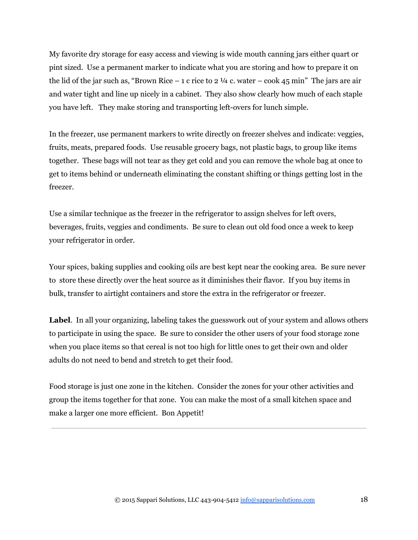My favorite dry storage for easy access and viewing is wide mouth canning jars either quart or pint sized. Use a permanent marker to indicate what you are storing and how to prepare it on the lid of the jar such as, "Brown Rice – 1 c rice to 2  $\frac{1}{4}$  c. water – cook 45 min" The jars are air and water tight and line up nicely in a cabinet. They also show clearly how much of each staple you have left. They make storing and transporting left-overs for lunch simple.

In the freezer, use permanent markers to write directly on freezer shelves and indicate: veggies, fruits, meats, prepared foods. Use reusable grocery bags, not plastic bags, to group like items together. These bags will not tear as they get cold and you can remove the whole bag at once to get to items behind or underneath eliminating the constant shifting or things getting lost in the freezer.

Use a similar technique as the freezer in the refrigerator to assign shelves for left overs, beverages, fruits, veggies and condiments. Be sure to clean out old food once a week to keep your refrigerator in order.

Your spices, baking supplies and cooking oils are best kept near the cooking area. Be sure never to store these directly over the heat source as it diminishes their flavor. If you buy items in bulk, transfer to airtight containers and store the extra in the refrigerator or freezer.

**Label**. In all your organizing, labeling takes the guesswork out of your system and allows others to participate in using the space. Be sure to consider the other users of your food storage zone when you place items so that cereal is not too high for little ones to get their own and older adults do not need to bend and stretch to get their food.

Food storage is just one zone in the kitchen. Consider the zones for your other activities and group the items together for that zone. You can make the most of a small kitchen space and make a larger one more efficient. Bon Appetit!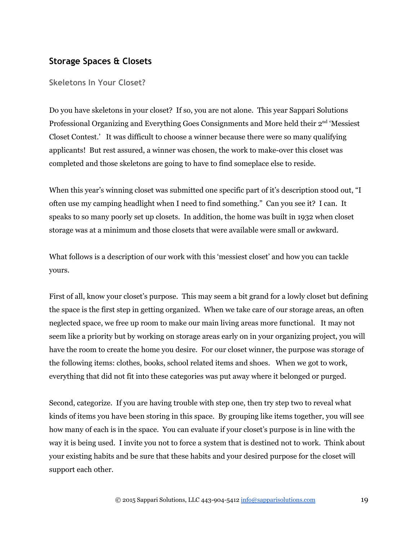#### **Storage Spaces & Closets**

<span id="page-18-0"></span>**Skeletons In Your Closet?**

Do you have skeletons in your closet? If so, you are not alone. This year Sappari Solutions Professional Organizing and Everything Goes Consignments and More held their 2<sup>nd</sup> 'Messiest Closet Contest.' It was difficult to choose a winner because there were so many qualifying applicants! But rest assured, a winner was chosen, the work to make-over this closet was completed and those skeletons are going to have to find someplace else to reside.

When this year's winning closet was submitted one specific part of it's description stood out, "I often use my camping headlight when I need to find something." Can you see it? I can. It speaks to so many poorly set up closets. In addition, the home was built in 1932 when closet storage was at a minimum and those closets that were available were small or awkward.

What follows is a description of our work with this 'messiest closet' and how you can tackle yours.

First of all, know your closet's purpose. This may seem a bit grand for a lowly closet but defining the space is the first step in getting organized. When we take care of our storage areas, an often neglected space, we free up room to make our main living areas more functional. It may not seem like a priority but by working on storage areas early on in your organizing project, you will have the room to create the home you desire. For our closet winner, the purpose was storage of the following items: clothes, books, school related items and shoes. When we got to work, everything that did not fit into these categories was put away where it belonged or purged.

Second, categorize. If you are having trouble with step one, then try step two to reveal what kinds of items you have been storing in this space. By grouping like items together, you will see how many of each is in the space. You can evaluate if your closet's purpose is in line with the way it is being used. I invite you not to force a system that is destined not to work. Think about your existing habits and be sure that these habits and your desired purpose for the closet will support each other.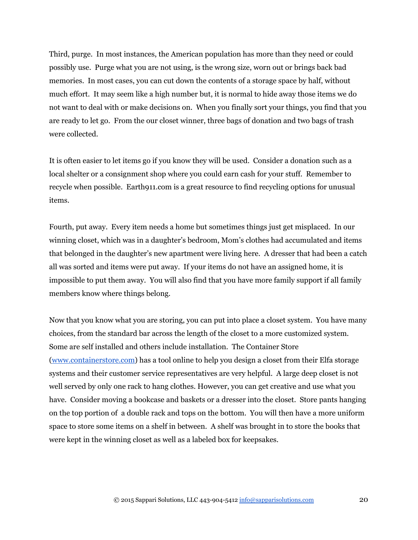Third, purge. In most instances, the American population has more than they need or could possibly use. Purge what you are not using, is the wrong size, worn out or brings back bad memories. In most cases, you can cut down the contents of a storage space by half, without much effort. It may seem like a high number but, it is normal to hide away those items we do not want to deal with or make decisions on. When you finally sort your things, you find that you are ready to let go. From the our closet winner, three bags of donation and two bags of trash were collected.

It is often easier to let items go if you know they will be used. Consider a donation such as a local shelter or a consignment shop where you could earn cash for your stuff. Remember to recycle when possible. Earth911.com is a great resource to find recycling options for unusual items.

Fourth, put away. Every item needs a home but sometimes things just get misplaced. In our winning closet, which was in a daughter's bedroom, Mom's clothes had accumulated and items that belonged in the daughter's new apartment were living here. A dresser that had been a catch all was sorted and items were put away. If your items do not have an assigned home, it is impossible to put them away. You will also find that you have more family support if all family members know where things belong.

Now that you know what you are storing, you can put into place a closet system. You have many choices, from the standard bar across the length of the closet to a more customized system. Some are self installed and others include installation. The Container Store [\(www.containerstore.com\)](http://www.containerstore.com/) has a tool online to help you design a closet from their Elfa storage systems and their customer service representatives are very helpful. A large deep closet is not well served by only one rack to hang clothes. However, you can get creative and use what you have. Consider moving a bookcase and baskets or a dresser into the closet. Store pants hanging on the top portion of a double rack and tops on the bottom. You will then have a more uniform space to store some items on a shelf in between. A shelf was brought in to store the books that were kept in the winning closet as well as a labeled box for keepsakes.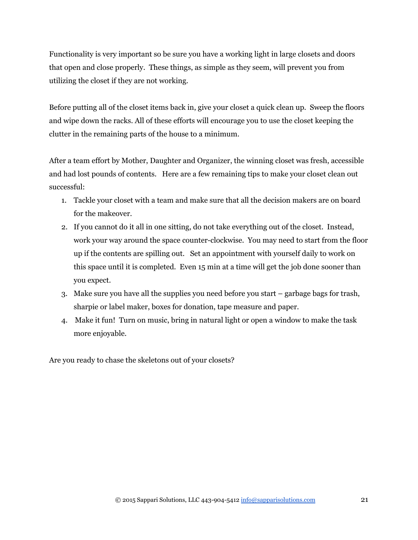Functionality is very important so be sure you have a working light in large closets and doors that open and close properly. These things, as simple as they seem, will prevent you from utilizing the closet if they are not working.

Before putting all of the closet items back in, give your closet a quick clean up. Sweep the floors and wipe down the racks. All of these efforts will encourage you to use the closet keeping the clutter in the remaining parts of the house to a minimum.

After a team effort by Mother, Daughter and Organizer, the winning closet was fresh, accessible and had lost pounds of contents. Here are a few remaining tips to make your closet clean out successful:

- 1. Tackle your closet with a team and make sure that all the decision makers are on board for the makeover.
- 2. If you cannot do it all in one sitting, do not take everything out of the closet. Instead, work your way around the space counter-clockwise. You may need to start from the floor up if the contents are spilling out. Set an appointment with yourself daily to work on this space until it is completed. Even 15 min at a time will get the job done sooner than you expect.
- 3. Make sure you have all the supplies you need before you start garbage bags for trash, sharpie or label maker, boxes for donation, tape measure and paper.
- 4. Make it fun! Turn on music, bring in natural light or open a window to make the task more enjoyable.

Are you ready to chase the skeletons out of your closets?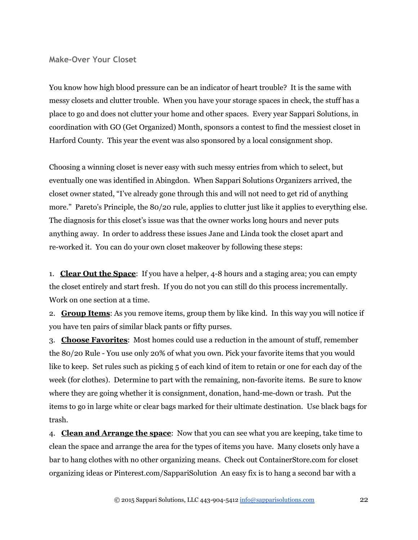#### <span id="page-21-0"></span>**Make‐Over Your Closet**

You know how high blood pressure can be an indicator of heart trouble? It is the same with messy closets and clutter trouble. When you have your storage spaces in check, the stuff has a place to go and does not clutter your home and other spaces. Every year Sappari Solutions, in coordination with GO (Get Organized) Month, sponsors a contest to find the messiest closet in Harford County. This year the event was also sponsored by a local consignment shop.

Choosing a winning closet is never easy with such messy entries from which to select, but eventually one was identified in Abingdon. When Sappari Solutions Organizers arrived, the closet owner stated, "I've already gone through this and will not need to get rid of anything more." Pareto's Principle, the 80/20 rule, applies to clutter just like it applies to everything else. The diagnosis for this closet's issue was that the owner works long hours and never puts anything away. In order to address these issues Jane and Linda took the closet apart and re-worked it. You can do your own closet makeover by following these steps:

1. **Clear Out the Space**: If you have a helper, 4-8 hours and a staging area; you can empty the closet entirely and start fresh. If you do not you can still do this process incrementally. Work on one section at a time.

2. **Group Items**: As you remove items, group them by like kind. In this way you will notice if you have ten pairs of similar black pants or fifty purses.

3. **Choose Favorites**: Most homes could use a reduction in the amount of stuff, remember the 80/20 Rule - You use only 20% of what you own. Pick your favorite items that you would like to keep. Set rules such as picking 5 of each kind of item to retain or one for each day of the week (for clothes). Determine to part with the remaining, non-favorite items. Be sure to know where they are going whether it is consignment, donation, hand-me-down or trash. Put the items to go in large white or clear bags marked for their ultimate destination. Use black bags for trash.

4. **Clean and Arrange the space**: Now that you can see what you are keeping, take time to clean the space and arrange the area for the types of items you have. Many closets only have a bar to hang clothes with no other organizing means. Check out ContainerStore.com for closet organizing ideas or Pinterest.com/SappariSolution An easy fix is to hang a second bar with a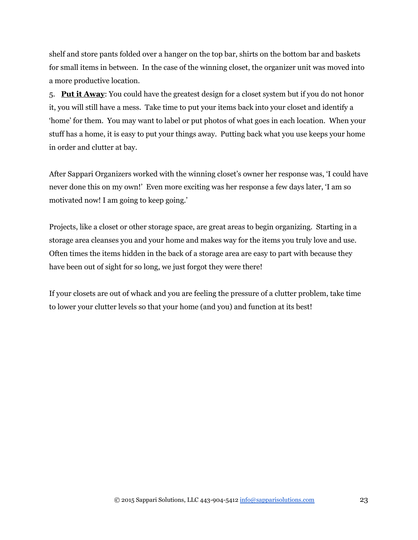shelf and store pants folded over a hanger on the top bar, shirts on the bottom bar and baskets for small items in between. In the case of the winning closet, the organizer unit was moved into a more productive location.

5. **Put it Away**: You could have the greatest design for a closet system but if you do not honor it, you will still have a mess. Take time to put your items back into your closet and identify a 'home' for them. You may want to label or put photos of what goes in each location. When your stuff has a home, it is easy to put your things away. Putting back what you use keeps your home in order and clutter at bay.

After Sappari Organizers worked with the winning closet's owner her response was, 'I could have never done this on my own!' Even more exciting was her response a few days later, 'I am so motivated now! I am going to keep going.'

Projects, like a closet or other storage space, are great areas to begin organizing. Starting in a storage area cleanses you and your home and makes way for the items you truly love and use. Often times the items hidden in the back of a storage area are easy to part with because they have been out of sight for so long, we just forgot they were there!

If your closets are out of whack and you are feeling the pressure of a clutter problem, take time to lower your clutter levels so that your home (and you) and function at its best!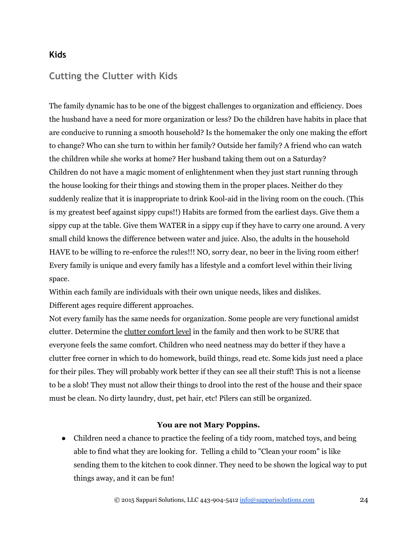#### **Kids**

### <span id="page-23-0"></span>**Cutting the Clutter with Kids**

The family dynamic has to be one of the biggest challenges to organization and efficiency. Does the husband have a need for more organization or less? Do the children have habits in place that are conducive to running a smooth household? Is the homemaker the only one making the effort to change? Who can she turn to within her family? Outside her family? A friend who can watch the children while she works at home? Her husband taking them out on a Saturday? Children do not have a magic moment of enlightenment when they just start running through the house looking for their things and stowing them in the proper places. Neither do they suddenly realize that it is inappropriate to drink Kool-aid in the living room on the couch. (This is my greatest beef against sippy cups!!) Habits are formed from the earliest days. Give them a sippy cup at the table. Give them WATER in a sippy cup if they have to carry one around. A very small child knows the difference between water and juice. Also, the adults in the household HAVE to be willing to re-enforce the rules!!! NO, sorry dear, no beer in the living room either! Every family is unique and every family has a lifestyle and a comfort level within their living space.

Within each family are individuals with their own unique needs, likes and dislikes. Different ages require different approaches.

Not every family has the same needs for organization. Some people are very functional amidst clutter. Determine the clutter comfort level in the family and then work to be SURE that everyone feels the same comfort. Children who need neatness may do better if they have a clutter free corner in which to do homework, build things, read etc. Some kids just need a place for their piles. They will probably work better if they can see all their stuff! This is not a license to be a slob! They must not allow their things to drool into the rest of the house and their space must be clean. No dirty laundry, dust, pet hair, etc! Pilers can still be organized.

#### **You are not Mary Poppins.**

• Children need a chance to practice the feeling of a tidy room, matched toys, and being able to find what they are looking for. Telling a child to "Clean your room" is like sending them to the kitchen to cook dinner. They need to be shown the logical way to put things away, and it can be fun!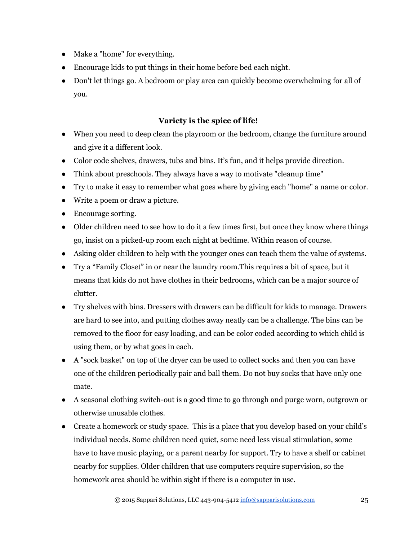- Make a "home" for everything.
- Encourage kids to put things in their home before bed each night.
- Don't let things go. A bedroom or play area can quickly become overwhelming for all of you.

#### **Variety is the spice of life!**

- When you need to deep clean the playroom or the bedroom, change the furniture around and give it a different look.
- Color code shelves, drawers, tubs and bins. It's fun, and it helps provide direction.
- Think about preschools. They always have a way to motivate "cleanup time"
- Try to make it easy to remember what goes where by giving each "home" a name or color.
- Write a poem or draw a picture.
- Encourage sorting.
- Older children need to see how to do it a few times first, but once they know where things go, insist on a picked-up room each night at bedtime. Within reason of course.
- Asking older children to help with the younger ones can teach them the value of systems.
- Try a "Family Closet" in or near the laundry room.This requires a bit of space, but it means that kids do not have clothes in their bedrooms, which can be a major source of clutter.
- Try shelves with bins. Dressers with drawers can be difficult for kids to manage. Drawers are hard to see into, and putting clothes away neatly can be a challenge. The bins can be removed to the floor for easy loading, and can be color coded according to which child is using them, or by what goes in each.
- A "sock basket" on top of the dryer can be used to collect socks and then you can have one of the children periodically pair and ball them. Do not buy socks that have only one mate.
- A seasonal clothing switch-out is a good time to go through and purge worn, outgrown or otherwise unusable clothes.
- Create a homework or study space. This is a place that you develop based on your child's individual needs. Some children need quiet, some need less visual stimulation, some have to have music playing, or a parent nearby for support. Try to have a shelf or cabinet nearby for supplies. Older children that use computers require supervision, so the homework area should be within sight if there is a computer in use.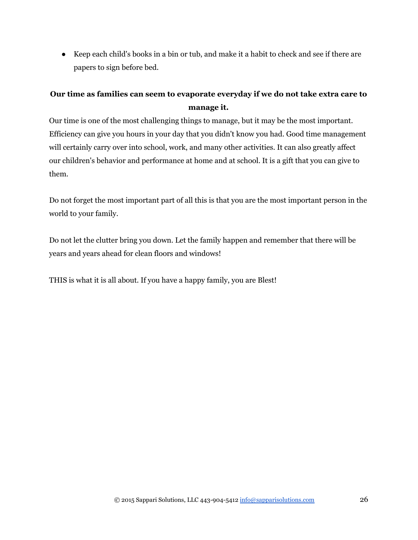● Keep each child's books in a bin or tub, and make it a habit to check and see if there are papers to sign before bed.

### **Our time as families can seem to evaporate everyday if we do not take extra care to manage it.**

Our time is one of the most challenging things to manage, but it may be the most important. Efficiency can give you hours in your day that you didn't know you had. Good time management will certainly carry over into school, work, and many other activities. It can also greatly affect our children's behavior and performance at home and at school. It is a gift that you can give to them.

Do not forget the most important part of all this is that you are the most important person in the world to your family.

Do not let the clutter bring you down. Let the family happen and remember that there will be years and years ahead for clean floors and windows!

THIS is what it is all about. If you have a happy family, you are Blest!